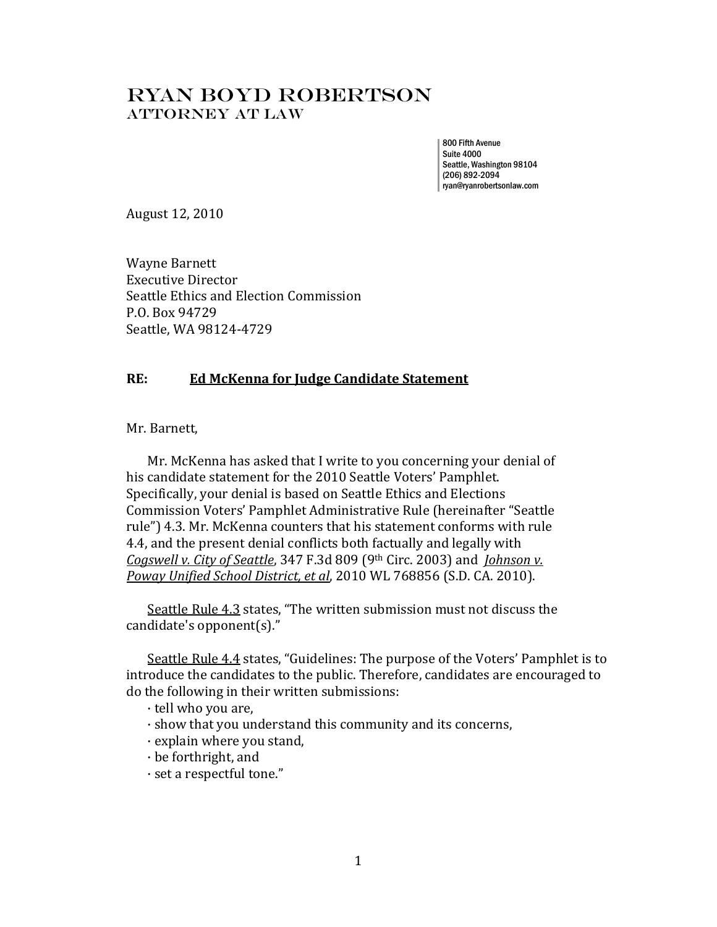## Ryan bOYD Robertson Attorney AT LAW

800 Fifth Avenue Suite 4000 Seattle, Washington 98104 (206) 892-2094 ryan@ryanrobertsonlaw.com

August 12, 2010

Wayne Barnett Executive Director Seattle Ethics and Election Commission P.O. Box 94729 Seattle, WA 98124-4729

## **RE: Ed McKenna for Judge Candidate Statement**

Mr. Barnett,

Mr. McKenna has asked that I write to you concerning your denial of his candidate statement for the 2010 Seattle Voters' Pamphlet. Specifically, your denial is based on Seattle Ethics and Elections Commission Voters' Pamphlet Administrative Rule (hereinafter "Seattle rule") 4.3. Mr. McKenna counters that his statement conforms with rule 4.4, and the present denial conflicts both factually and legally with *Cogswell v. City of Seattle*, 347 F.3d 809 (9th Circ. 2003) and *Johnson v. Poway Unified School District, et al*, 2010 WL 768856 (S.D. CA. 2010).

Seattle Rule 4.3 states, "The written submission must not discuss the candidate's opponent(s)."

Seattle Rule 4.4 states, "Guidelines: The purpose of the Voters' Pamphlet is to introduce the candidates to the public. Therefore, candidates are encouraged to do the following in their written submissions:

- · tell who you are,
- · show that you understand this community and its concerns,
- · explain where you stand,
- · be forthright, and
- · set a respectful tone."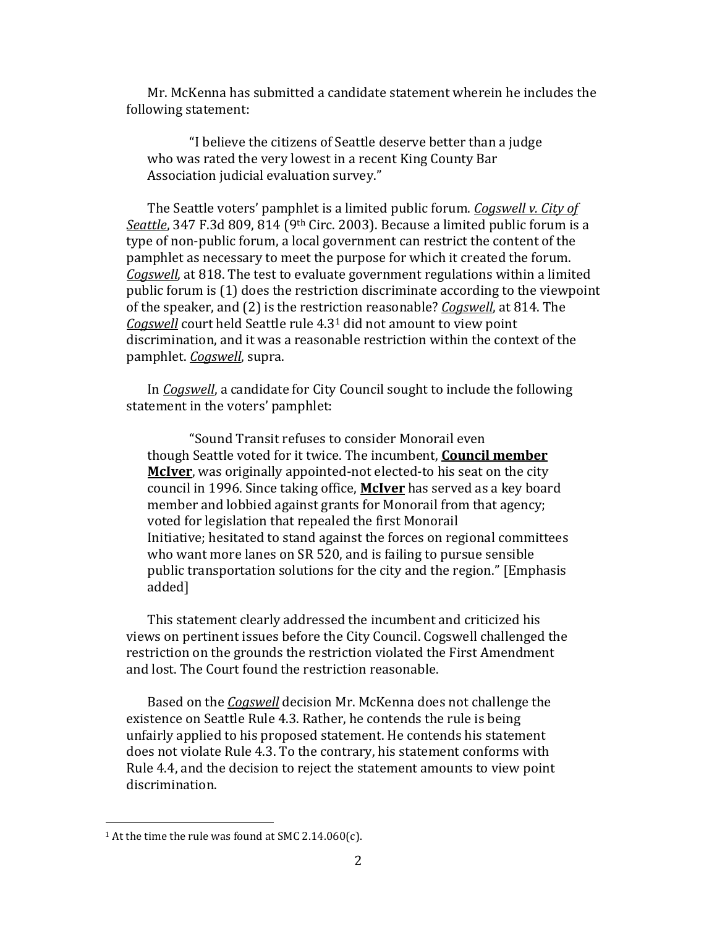Mr. McKenna has submitted a candidate statement wherein he includes the following statement:

"I believe the citizens of Seattle deserve better than a judge who was rated the very lowest in a recent King County Bar Association judicial evaluation survey."

The Seattle voters' pamphlet is a limited public forum. *Cogswell v. City of Seattle*, 347 F.3d 809, 814 (9th Circ. 2003). Because a limited public forum is a type of non-public forum, a local government can restrict the content of the pamphlet as necessary to meet the purpose for which it created the forum. *Cogswell*, at 818. The test to evaluate government regulations within a limited public forum is (1) does the restriction discriminate according to the viewpoint of the speaker, and (2) is the restriction reasonable? *Cogswell*, at 814. The *Cogswell* court held Seattle rule 4.3<sup>1</sup> did not amount to view point discrimination, and it was a reasonable restriction within the context of the pamphlet. *Cogswell*, supra.

In *Cogswell*, a candidate for City Council sought to include the following statement in the voters' pamphlet:

"Sound Transit refuses to consider Monorail even though Seattle voted for it twice. The incumbent, **Council member McIver**, was originally appointed-not elected-to his seat on the city council in 1996. Since taking office, **McIver** has served as a key board member and lobbied against grants for Monorail from that agency; voted for legislation that repealed the first Monorail Initiative; hesitated to stand against the forces on regional committees who want more lanes on SR 520, and is failing to pursue sensible public transportation solutions for the city and the region." [Emphasis added]

This statement clearly addressed the incumbent and criticized his views on pertinent issues before the City Council. Cogswell challenged the restriction on the grounds the restriction violated the First Amendment and lost. The Court found the restriction reasonable.

Based on the *Cogswell* decision Mr. McKenna does not challenge the existence on Seattle Rule 4.3. Rather, he contends the rule is being unfairly applied to his proposed statement. He contends his statement does not violate Rule 4.3. To the contrary, his statement conforms with Rule 4.4, and the decision to reject the statement amounts to view point discrimination.

 $\overline{a}$ 

<sup>&</sup>lt;sup>1</sup> At the time the rule was found at SMC 2.14.060(c).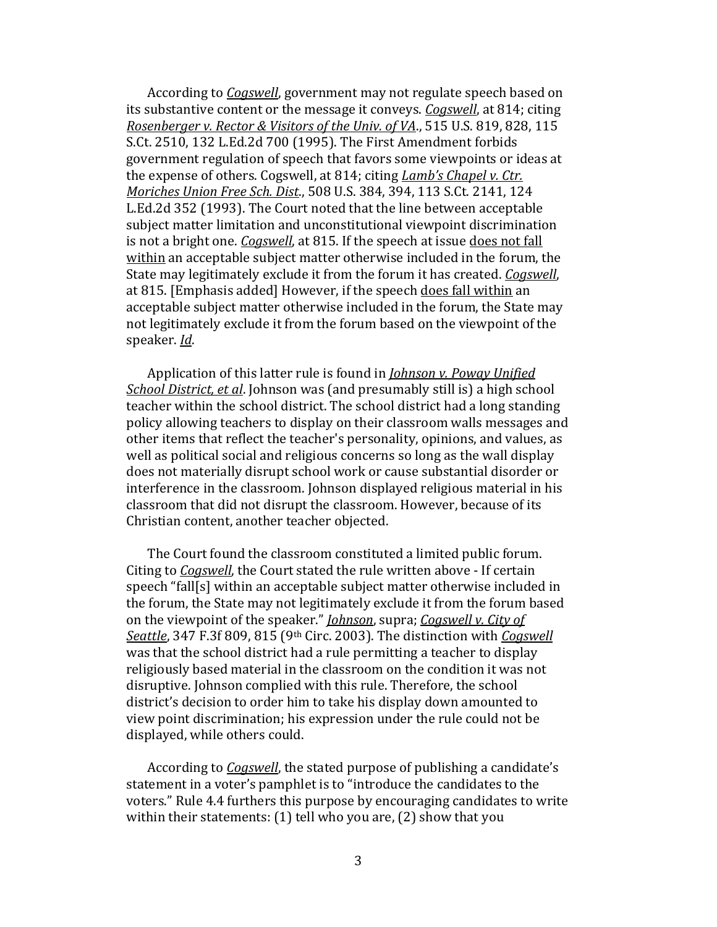According to *Cogswell*, government may not regulate speech based on its substantive content or the message it conveys. *Cogswell*, at 814; citing *Rosenberger v. Rector & Visitors of the Univ. of VA*., 515 U.S. 819, 828, 115 S.Ct. 2510, 132 L.Ed.2d 700 (1995). The First Amendment forbids government regulation of speech that favors some viewpoints or ideas at the expense of others. Cogswell, at 814; citing *Lamb's Chapel v. Ctr. Moriches Union Free Sch. Dist*., 508 U.S. 384, 394, 113 S.Ct. 2141, 124 L.Ed.2d 352 (1993). The Court noted that the line between acceptable subject matter limitation and unconstitutional viewpoint discrimination is not a bright one. *Cogswell*, at 815. If the speech at issue does not fall within an acceptable subject matter otherwise included in the forum, the State may legitimately exclude it from the forum it has created. *Cogswell*, at 815. [Emphasis added] However, if the speech does fall within an acceptable subject matter otherwise included in the forum, the State may not legitimately exclude it from the forum based on the viewpoint of the speaker. *Id*.

Application of this latter rule is found in *Johnson v. Poway Unified School District, et al*. Johnson was (and presumably still is) a high school teacher within the school district. The school district had a long standing policy allowing teachers to display on their classroom walls messages and other items that reflect the teacher's personality, opinions, and values, as well as political social and religious concerns so long as the wall display does not materially disrupt school work or cause substantial disorder or interference in the classroom. Johnson displayed religious material in his classroom that did not disrupt the classroom. However, because of its Christian content, another teacher objected.

The Court found the classroom constituted a limited public forum. Citing to *Cogswell*, the Court stated the rule written above - If certain speech "fall[s] within an acceptable subject matter otherwise included in the forum, the State may not legitimately exclude it from the forum based on the viewpoint of the speaker." *Johnson*, supra; *Cogswell v. City of Seattle*, 347 F.3f 809, 815 (9th Circ. 2003). The distinction with *Cogswell* was that the school district had a rule permitting a teacher to display religiously based material in the classroom on the condition it was not disruptive. Johnson complied with this rule. Therefore, the school district's decision to order him to take his display down amounted to view point discrimination; his expression under the rule could not be displayed, while others could.

According to *Cogswell*, the stated purpose of publishing a candidate's statement in a voter's pamphlet is to "introduce the candidates to the voters." Rule 4.4 furthers this purpose by encouraging candidates to write within their statements: (1) tell who you are, (2) show that you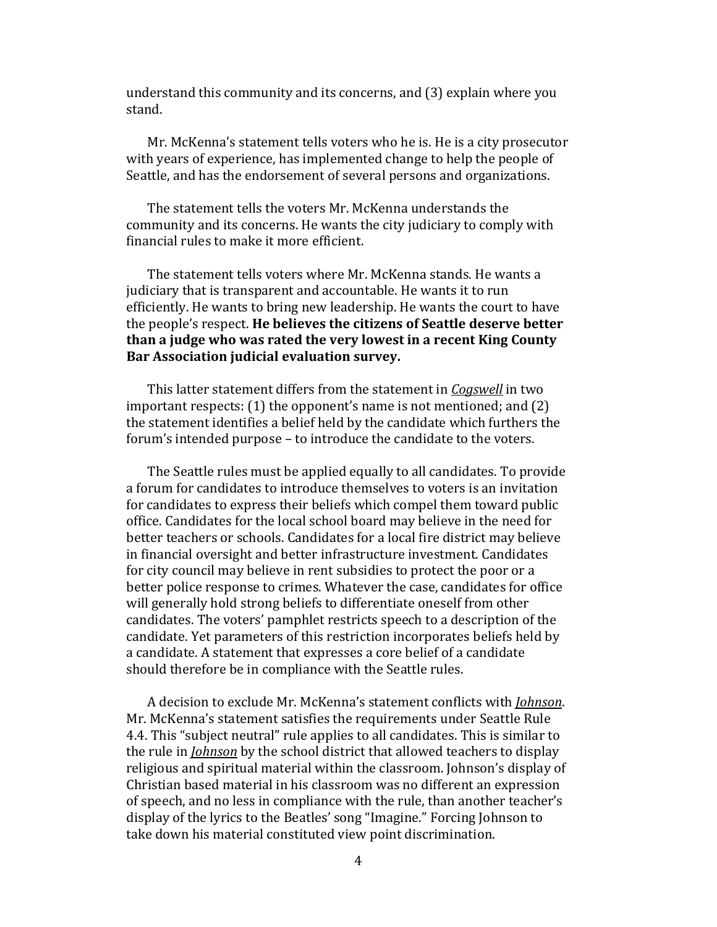understand this community and its concerns, and (3) explain where you stand.

Mr. McKenna's statement tells voters who he is. He is a city prosecutor with years of experience, has implemented change to help the people of Seattle, and has the endorsement of several persons and organizations.

The statement tells the voters Mr. McKenna understands the community and its concerns. He wants the city judiciary to comply with financial rules to make it more efficient.

The statement tells voters where Mr. McKenna stands. He wants a judiciary that is transparent and accountable. He wants it to run efficiently. He wants to bring new leadership. He wants the court to have the people's respect. **He believes the citizens of Seattle deserve better than a judge who was rated the very lowest in a recent King County Bar Association judicial evaluation survey.**

This latter statement differs from the statement in *Cogswell* in two important respects: (1) the opponent's name is not mentioned; and (2) the statement identifies a belief held by the candidate which furthers the forum's intended purpose – to introduce the candidate to the voters.

The Seattle rules must be applied equally to all candidates. To provide a forum for candidates to introduce themselves to voters is an invitation for candidates to express their beliefs which compel them toward public office. Candidates for the local school board may believe in the need for better teachers or schools. Candidates for a local fire district may believe in financial oversight and better infrastructure investment. Candidates for city council may believe in rent subsidies to protect the poor or a better police response to crimes. Whatever the case, candidates for office will generally hold strong beliefs to differentiate oneself from other candidates. The voters' pamphlet restricts speech to a description of the candidate. Yet parameters of this restriction incorporates beliefs held by a candidate. A statement that expresses a core belief of a candidate should therefore be in compliance with the Seattle rules.

A decision to exclude Mr. McKenna's statement conflicts with *Johnson*. Mr. McKenna's statement satisfies the requirements under Seattle Rule 4.4. This "subject neutral" rule applies to all candidates. This is similar to the rule in *Johnson* by the school district that allowed teachers to display religious and spiritual material within the classroom. Johnson's display of Christian based material in his classroom was no different an expression of speech, and no less in compliance with the rule, than another teacher's display of the lyrics to the Beatles' song "Imagine." Forcing Johnson to take down his material constituted view point discrimination.